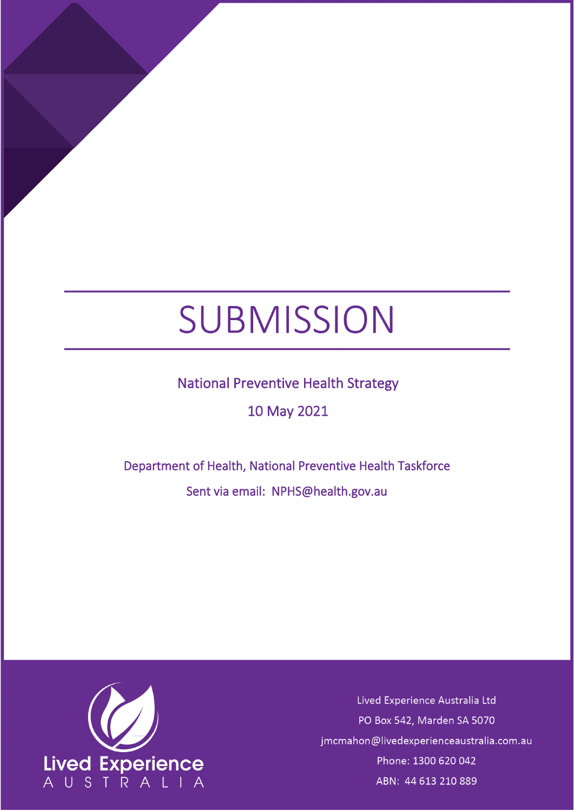# SUBMISSION

## National Preventive Health Strategy

## 10 May 2021

## Department of Health, National Preventive Health Taskforce Sent via email: NPHS@health.gov.au



Lived Experience Australia Ltd PO Box 542, Marden SA 5070 jmcmahon@livedexperienceaustralia.com.au Phone: 1300 620 042 ABN: 44 613 210 889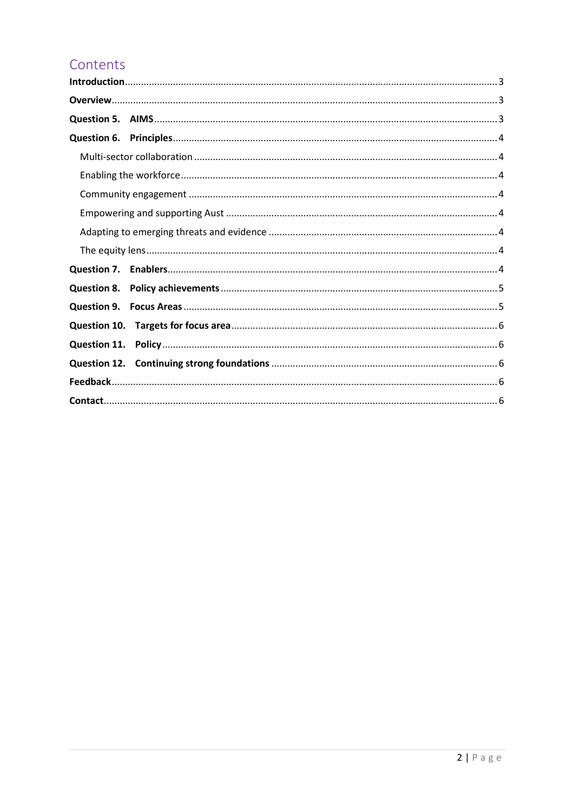## Contents

| Question 6. |  |
|-------------|--|
|             |  |
|             |  |
|             |  |
|             |  |
|             |  |
|             |  |
|             |  |
|             |  |
|             |  |
|             |  |
|             |  |
|             |  |
|             |  |
|             |  |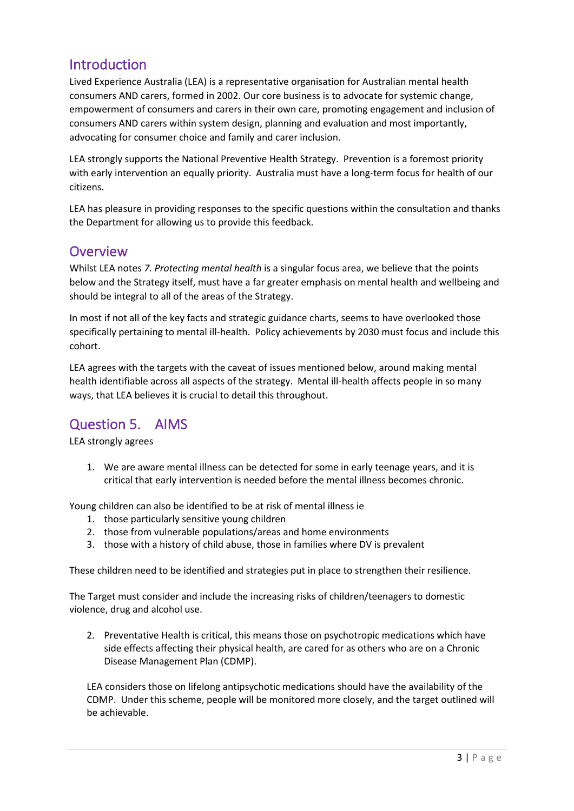## <span id="page-2-0"></span>Introduction

Lived Experience Australia (LEA) is a representative organisation for Australian mental health consumers AND carers, formed in 2002. Our core business is to advocate for systemic change, empowerment of consumers and carers in their own care, promoting engagement and inclusion of consumers AND carers within system design, planning and evaluation and most importantly, advocating for consumer choice and family and carer inclusion.

LEA strongly supports the National Preventive Health Strategy. Prevention is a foremost priority with early intervention an equally priority. Australia must have a long-term focus for health of our citizens.

LEA has pleasure in providing responses to the specific questions within the consultation and thanks the Department for allowing us to provide this feedback.

#### <span id="page-2-1"></span>**Overview**

Whilst LEA notes *7. Protecting mental health* is a singular focus area, we believe that the points below and the Strategy itself, must have a far greater emphasis on mental health and wellbeing and should be integral to all of the areas of the Strategy.

In most if not all of the key facts and strategic guidance charts, seems to have overlooked those specifically pertaining to mental ill-health. Policy achievements by 2030 must focus and include this cohort.

LEA agrees with the targets with the caveat of issues mentioned below, around making mental health identifiable across all aspects of the strategy. Mental ill-health affects people in so many ways, that LEA believes it is crucial to detail this throughout.

## <span id="page-2-2"></span>Question 5. AIMS

LEA strongly agrees

1. We are aware mental illness can be detected for some in early teenage years, and it is critical that early intervention is needed before the mental illness becomes chronic.

Young children can also be identified to be at risk of mental illness ie

- 1. those particularly sensitive young children
- 2. those from vulnerable populations/areas and home environments
- 3. those with a history of child abuse, those in families where DV is prevalent

These children need to be identified and strategies put in place to strengthen their resilience.

The Target must consider and include the increasing risks of children/teenagers to domestic violence, drug and alcohol use.

2. Preventative Health is critical, this means those on psychotropic medications which have side effects affecting their physical health, are cared for as others who are on a Chronic Disease Management Plan (CDMP).

LEA considers those on lifelong antipsychotic medications should have the availability of the CDMP. Under this scheme, people will be monitored more closely, and the target outlined will be achievable.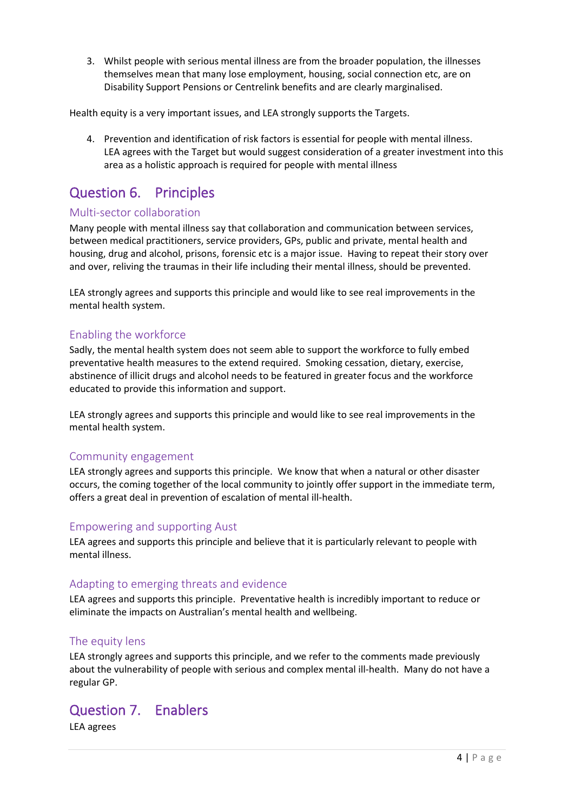3. Whilst people with serious mental illness are from the broader population, the illnesses themselves mean that many lose employment, housing, social connection etc, are on Disability Support Pensions or Centrelink benefits and are clearly marginalised.

Health equity is a very important issues, and LEA strongly supports the Targets.

4. Prevention and identification of risk factors is essential for people with mental illness. LEA agrees with the Target but would suggest consideration of a greater investment into this area as a holistic approach is required for people with mental illness

## <span id="page-3-0"></span>Question 6. Principles

#### <span id="page-3-1"></span>Multi-sector collaboration

Many people with mental illness say that collaboration and communication between services, between medical practitioners, service providers, GPs, public and private, mental health and housing, drug and alcohol, prisons, forensic etc is a major issue. Having to repeat their story over and over, reliving the traumas in their life including their mental illness, should be prevented.

LEA strongly agrees and supports this principle and would like to see real improvements in the mental health system.

#### <span id="page-3-2"></span>Enabling the workforce

Sadly, the mental health system does not seem able to support the workforce to fully embed preventative health measures to the extend required. Smoking cessation, dietary, exercise, abstinence of illicit drugs and alcohol needs to be featured in greater focus and the workforce educated to provide this information and support.

LEA strongly agrees and supports this principle and would like to see real improvements in the mental health system.

#### <span id="page-3-3"></span>Community engagement

LEA strongly agrees and supports this principle. We know that when a natural or other disaster occurs, the coming together of the local community to jointly offer support in the immediate term, offers a great deal in prevention of escalation of mental ill-health.

#### <span id="page-3-4"></span>Empowering and supporting Aust

LEA agrees and supports this principle and believe that it is particularly relevant to people with mental illness.

#### <span id="page-3-5"></span>Adapting to emerging threats and evidence

LEA agrees and supports this principle. Preventative health is incredibly important to reduce or eliminate the impacts on Australian's mental health and wellbeing.

#### <span id="page-3-6"></span>The equity lens

LEA strongly agrees and supports this principle, and we refer to the comments made previously about the vulnerability of people with serious and complex mental ill-health. Many do not have a regular GP.

## <span id="page-3-7"></span>Question 7. Enablers

LEA agrees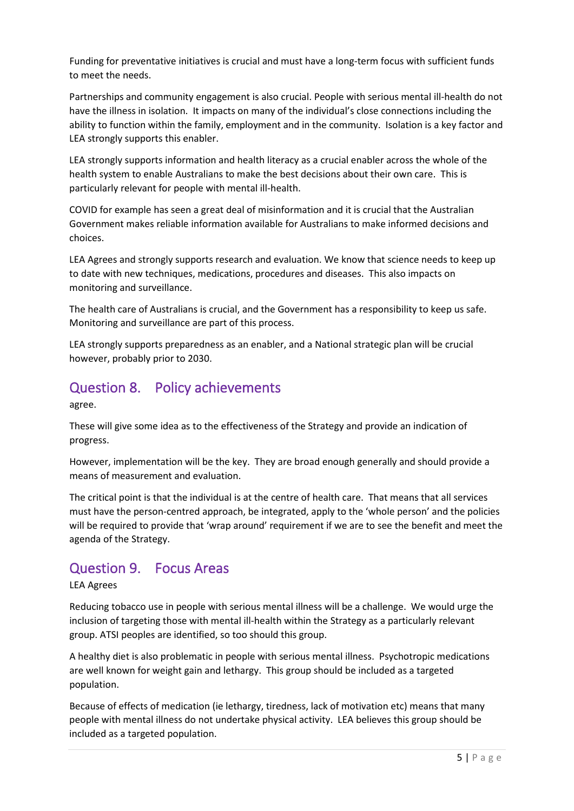Funding for preventative initiatives is crucial and must have a long-term focus with sufficient funds to meet the needs.

Partnerships and community engagement is also crucial. People with serious mental ill-health do not have the illness in isolation. It impacts on many of the individual's close connections including the ability to function within the family, employment and in the community. Isolation is a key factor and LEA strongly supports this enabler.

LEA strongly supports information and health literacy as a crucial enabler across the whole of the health system to enable Australians to make the best decisions about their own care. This is particularly relevant for people with mental ill-health.

COVID for example has seen a great deal of misinformation and it is crucial that the Australian Government makes reliable information available for Australians to make informed decisions and choices.

LEA Agrees and strongly supports research and evaluation. We know that science needs to keep up to date with new techniques, medications, procedures and diseases. This also impacts on monitoring and surveillance.

The health care of Australians is crucial, and the Government has a responsibility to keep us safe. Monitoring and surveillance are part of this process.

LEA strongly supports preparedness as an enabler, and a National strategic plan will be crucial however, probably prior to 2030.

## <span id="page-4-0"></span>Question 8. Policy achievements

agree.

These will give some idea as to the effectiveness of the Strategy and provide an indication of progress.

However, implementation will be the key. They are broad enough generally and should provide a means of measurement and evaluation.

The critical point is that the individual is at the centre of health care. That means that all services must have the person-centred approach, be integrated, apply to the 'whole person' and the policies will be required to provide that 'wrap around' requirement if we are to see the benefit and meet the agenda of the Strategy.

## <span id="page-4-1"></span>Question 9. Focus Areas

#### LEA Agrees

Reducing tobacco use in people with serious mental illness will be a challenge. We would urge the inclusion of targeting those with mental ill-health within the Strategy as a particularly relevant group. ATSI peoples are identified, so too should this group.

A healthy diet is also problematic in people with serious mental illness. Psychotropic medications are well known for weight gain and lethargy. This group should be included as a targeted population.

Because of effects of medication (ie lethargy, tiredness, lack of motivation etc) means that many people with mental illness do not undertake physical activity. LEA believes this group should be included as a targeted population.